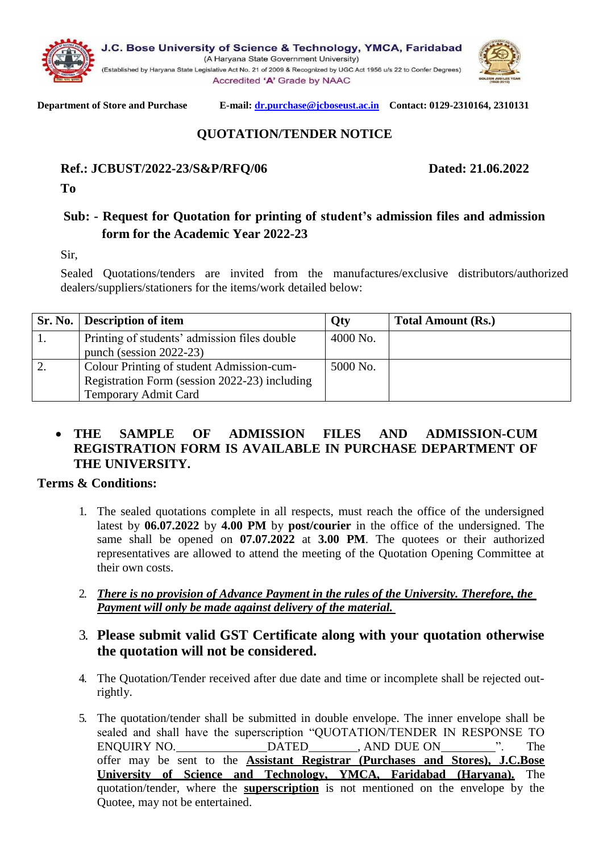



#### **Department of Store and Purchase E-mail[: dr.purchase@jcboseust.ac.in](mailto:dr.purchase@jcboseust.ac.in) Contact: 0129-2310164, 2310131**

# **QUOTATION/TENDER NOTICE**

#### **Ref.: JCBUST/2022-23/S&P/RFQ/06 Dated: 21.06.2022**

**To**

## **Sub: - Request for Quotation for printing of student's admission files and admission form for the Academic Year 2022-23**

Sir,

Sealed Quotations/tenders are invited from the manufactures/exclusive distributors/authorized dealers/suppliers/stationers for the items/work detailed below:

|    | Sr. No.   Description of item                    | <b>Qty</b> | <b>Total Amount (Rs.)</b> |
|----|--------------------------------------------------|------------|---------------------------|
|    | Printing of students' admission files double     | 4000 No.   |                           |
|    | punch (session $2022-23$ )                       |            |                           |
| ۷. | <b>Colour Printing of student Admission-cum-</b> | 5000 No.   |                           |
|    | Registration Form (session 2022-23) including    |            |                           |
|    | <b>Temporary Admit Card</b>                      |            |                           |

### • **THE SAMPLE OF ADMISSION FILES AND ADMISSION-CUM REGISTRATION FORM IS AVAILABLE IN PURCHASE DEPARTMENT OF THE UNIVERSITY.**

#### **Terms & Conditions:**

- 1. The sealed quotations complete in all respects, must reach the office of the undersigned latest by **06.07.2022** by **4.00 PM** by **post/courier** in the office of the undersigned. The same shall be opened on **07.07.2022** at **3.00 PM**. The quotees or their authorized representatives are allowed to attend the meeting of the Quotation Opening Committee at their own costs.
- 2. *There is no provision of Advance Payment in the rules of the University. Therefore, the Payment will only be made against delivery of the material.*

### 3. **Please submit valid GST Certificate along with your quotation otherwise the quotation will not be considered.**

- 4. The Quotation/Tender received after due date and time or incomplete shall be rejected outrightly.
- 5. The quotation/tender shall be submitted in double envelope. The inner envelope shall be sealed and shall have the superscription "QUOTATION/TENDER IN RESPONSE TO ENQUIRY NO. DATED , AND DUE ON ". The offer may be sent to the **Assistant Registrar (Purchases and Stores), J.C.Bose University of Science and Technology, YMCA, Faridabad (Haryana).** The quotation/tender, where the **superscription** is not mentioned on the envelope by the Quotee, may not be entertained.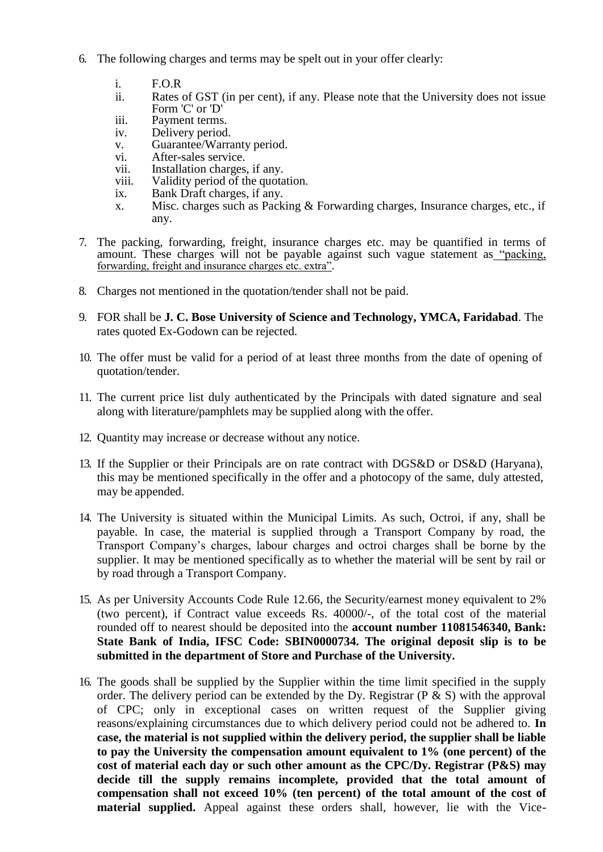- 6. The following charges and terms may be spelt out in your offer clearly:
	- i. F.O.R
	- Rates of GST (in per cent), if any. Please note that the University does not issue Form 'C' or 'D'
	- iii. Payment terms.
	- iv. Delivery period.
	- v. Guarantee/Warranty period.<br>vi. After-sales service.
	- After-sales service.
	- vii. Installation charges, if any.<br>viii. Validity period of the quota
	- viii. Validity period of the quotation.<br>ix. Bank Draft charges, if any.
	- Bank Draft charges, if any.
	- x. Misc. charges such as Packing & Forwarding charges, Insurance charges, etc., if any.
- 7. The packing, forwarding, freight, insurance charges etc. may be quantified in terms of amount. These charges will not be payable against such vague statement as "packing, forwarding, freight and insurance charges etc. extra".
- 8. Charges not mentioned in the quotation/tender shall not be paid.
- 9. FOR shall be **J. C. Bose University of Science and Technology, YMCA, Faridabad**. The rates quoted Ex-Godown can be rejected.
- 10. The offer must be valid for a period of at least three months from the date of opening of quotation/tender.
- 11. The current price list duly authenticated by the Principals with dated signature and seal along with literature/pamphlets may be supplied along with the offer.
- 12. Quantity may increase or decrease without any notice.
- 13. If the Supplier or their Principals are on rate contract with DGS&D or DS&D (Haryana), this may be mentioned specifically in the offer and a photocopy of the same, duly attested, may be appended.
- 14. The University is situated within the Municipal Limits. As such, Octroi, if any, shall be payable. In case, the material is supplied through a Transport Company by road, the Transport Company's charges, labour charges and octroi charges shall be borne by the supplier. It may be mentioned specifically as to whether the material will be sent by rail or by road through a Transport Company.
- 15. As per University Accounts Code Rule 12.66, the Security/earnest money equivalent to 2% (two percent), if Contract value exceeds Rs. 40000/-, of the total cost of the material rounded off to nearest should be deposited into the **account number 11081546340, Bank: State Bank of India, IFSC Code: SBIN0000734. The original deposit slip is to be submitted in the department of Store and Purchase of the University.**
- 16. The goods shall be supplied by the Supplier within the time limit specified in the supply order. The delivery period can be extended by the Dy. Registrar ( $P \& S$ ) with the approval of CPC; only in exceptional cases on written request of the Supplier giving reasons/explaining circumstances due to which delivery period could not be adhered to. **In case, the material is not supplied within the delivery period, the supplier shall be liable to pay the University the compensation amount equivalent to 1% (one percent) of the cost of material each day or such other amount as the CPC/Dy. Registrar (P&S) may decide till the supply remains incomplete, provided that the total amount of compensation shall not exceed 10% (ten percent) of the total amount of the cost of material supplied.** Appeal against these orders shall, however, lie with the Vice-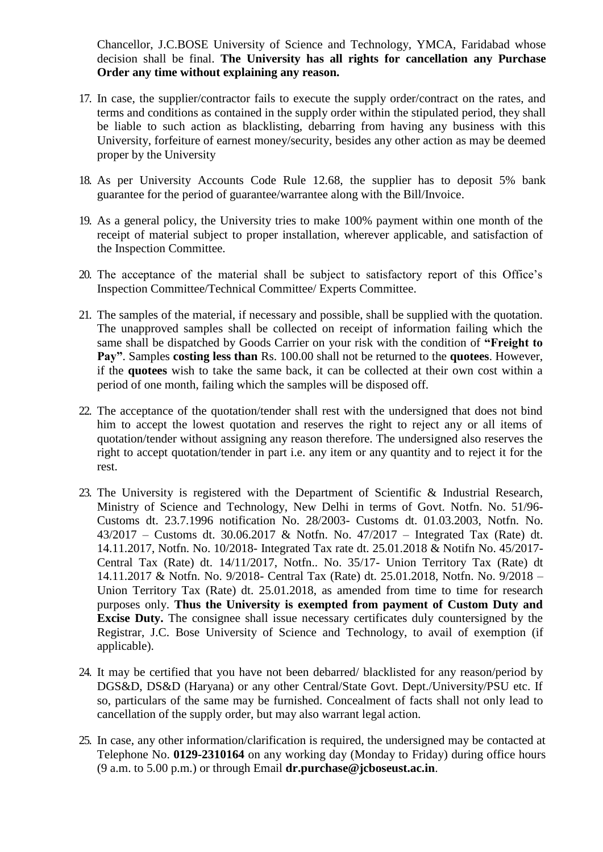Chancellor, J.C.BOSE University of Science and Technology, YMCA, Faridabad whose decision shall be final. **The University has all rights for cancellation any Purchase Order any time without explaining any reason.**

- 17. In case, the supplier/contractor fails to execute the supply order/contract on the rates, and terms and conditions as contained in the supply order within the stipulated period, they shall be liable to such action as blacklisting, debarring from having any business with this University, forfeiture of earnest money/security, besides any other action as may be deemed proper by the University
- 18. As per University Accounts Code Rule 12.68, the supplier has to deposit 5% bank guarantee for the period of guarantee/warrantee along with the Bill/Invoice.
- 19. As a general policy, the University tries to make 100% payment within one month of the receipt of material subject to proper installation, wherever applicable, and satisfaction of the Inspection Committee.
- 20. The acceptance of the material shall be subject to satisfactory report of this Office's Inspection Committee/Technical Committee/ Experts Committee.
- 21. The samples of the material, if necessary and possible, shall be supplied with the quotation. The unapproved samples shall be collected on receipt of information failing which the same shall be dispatched by Goods Carrier on your risk with the condition of **"Freight to Pay"**. Samples **costing less than** Rs. 100.00 shall not be returned to the **quotees**. However, if the **quotees** wish to take the same back, it can be collected at their own cost within a period of one month, failing which the samples will be disposed off.
- 22. The acceptance of the quotation/tender shall rest with the undersigned that does not bind him to accept the lowest quotation and reserves the right to reject any or all items of quotation/tender without assigning any reason therefore. The undersigned also reserves the right to accept quotation/tender in part i.e. any item or any quantity and to reject it for the rest.
- 23. The University is registered with the Department of Scientific & Industrial Research, Ministry of Science and Technology, New Delhi in terms of Govt. Notfn. No. 51/96- Customs dt. 23.7.1996 notification No. 28/2003- Customs dt. 01.03.2003, Notfn. No. 43/2017 – Customs dt. 30.06.2017 & Notfn. No. 47/2017 – Integrated Tax (Rate) dt. 14.11.2017, Notfn. No. 10/2018- Integrated Tax rate dt. 25.01.2018 & Notifn No. 45/2017- Central Tax (Rate) dt. 14/11/2017, Notfn.. No. 35/17- Union Territory Tax (Rate) dt 14.11.2017 & Notfn. No. 9/2018- Central Tax (Rate) dt. 25.01.2018, Notfn. No. 9/2018 – Union Territory Tax (Rate) dt. 25.01.2018, as amended from time to time for research purposes only. **Thus the University is exempted from payment of Custom Duty and Excise Duty.** The consignee shall issue necessary certificates duly countersigned by the Registrar, J.C. Bose University of Science and Technology, to avail of exemption (if applicable).
- 24. It may be certified that you have not been debarred/ blacklisted for any reason/period by DGS&D, DS&D (Haryana) or any other Central/State Govt. Dept./University/PSU etc. If so, particulars of the same may be furnished. Concealment of facts shall not only lead to cancellation of the supply order, but may also warrant legal action.
- 25. In case, any other information/clarification is required, the undersigned may be contacted at Telephone No. **0129-2310164** on any working day (Monday to Friday) during office hours (9 a.m. to 5.00 p.m.) or through Email **[dr.purchase@jcboseust.ac.in](mailto:dr.purchase@jcboseust.ac.in)**.